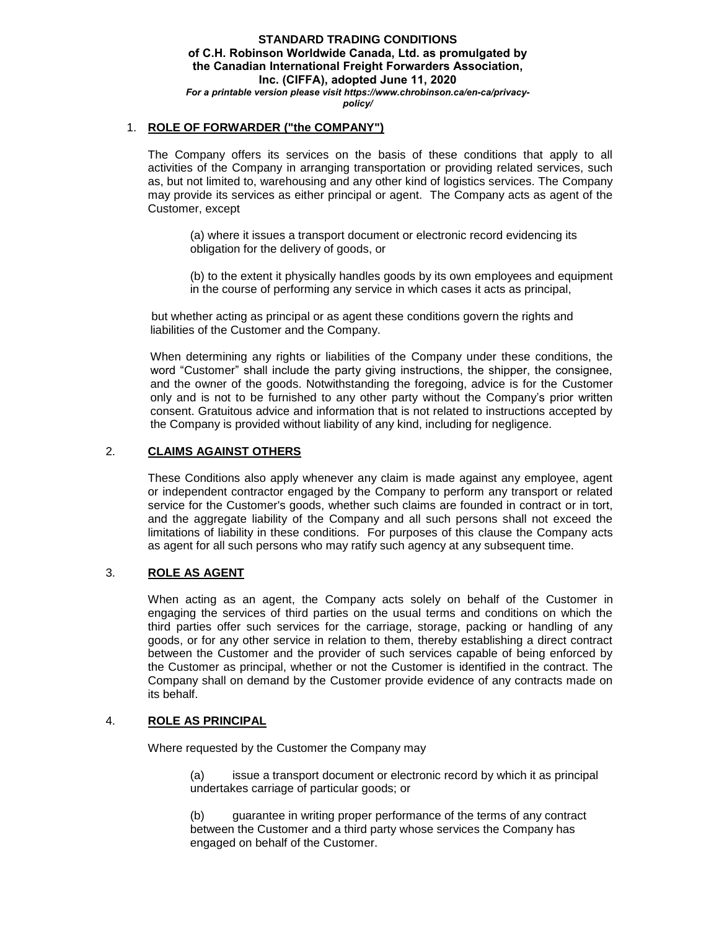### 1. **ROLE OF FORWARDER ("the COMPANY")**

The Company offers its services on the basis of these conditions that apply to all activities of the Company in arranging transportation or providing related services, such as, but not limited to, warehousing and any other kind of logistics services. The Company may provide its services as either principal or agent. The Company acts as agent of the Customer, except

(a) where it issues a transport document or electronic record evidencing its obligation for the delivery of goods, or

(b) to the extent it physically handles goods by its own employees and equipment in the course of performing any service in which cases it acts as principal,

but whether acting as principal or as agent these conditions govern the rights and liabilities of the Customer and the Company.

When determining any rights or liabilities of the Company under these conditions, the word "Customer" shall include the party giving instructions, the shipper, the consignee, and the owner of the goods. Notwithstanding the foregoing, advice is for the Customer only and is not to be furnished to any other party without the Company's prior written consent. Gratuitous advice and information that is not related to instructions accepted by the Company is provided without liability of any kind, including for negligence.

# 2. **CLAIMS AGAINST OTHERS**

These Conditions also apply whenever any claim is made against any employee, agent or independent contractor engaged by the Company to perform any transport or related service for the Customer's goods, whether such claims are founded in contract or in tort, and the aggregate liability of the Company and all such persons shall not exceed the limitations of liability in these conditions. For purposes of this clause the Company acts as agent for all such persons who may ratify such agency at any subsequent time.

### 3. **ROLE AS AGENT**

When acting as an agent, the Company acts solely on behalf of the Customer in engaging the services of third parties on the usual terms and conditions on which the third parties offer such services for the carriage, storage, packing or handling of any goods, or for any other service in relation to them, thereby establishing a direct contract between the Customer and the provider of such services capable of being enforced by the Customer as principal, whether or not the Customer is identified in the contract. The Company shall on demand by the Customer provide evidence of any contracts made on its behalf.

### 4. **ROLE AS PRINCIPAL**

Where requested by the Customer the Company may

(a) issue a transport document or electronic record by which it as principal undertakes carriage of particular goods; or

(b) guarantee in writing proper performance of the terms of any contract between the Customer and a third party whose services the Company has engaged on behalf of the Customer.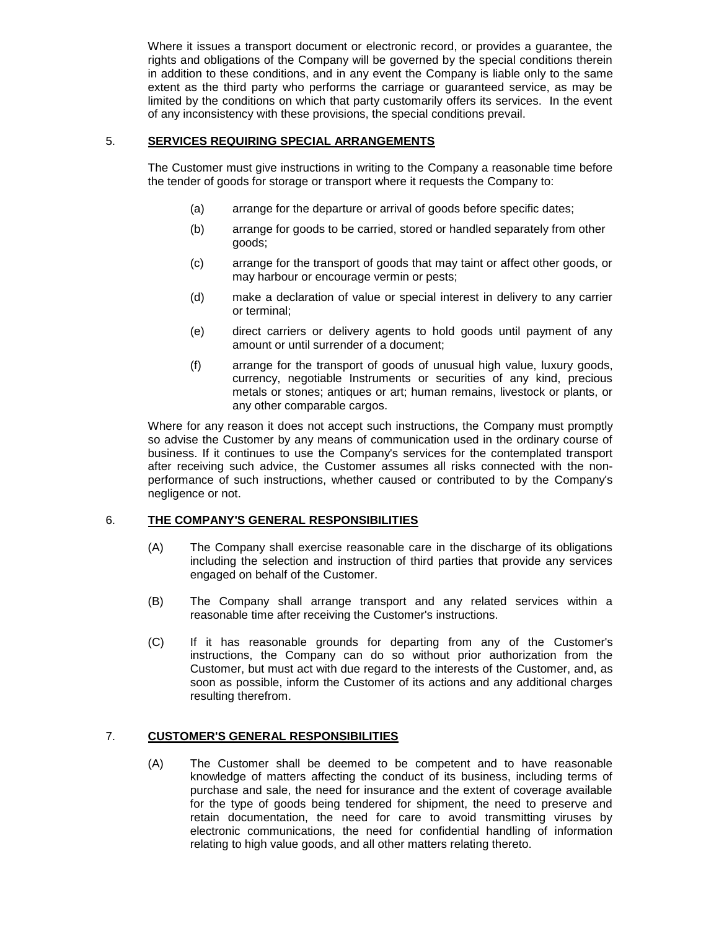Where it issues a transport document or electronic record, or provides a guarantee, the rights and obligations of the Company will be governed by the special conditions therein in addition to these conditions, and in any event the Company is liable only to the same extent as the third party who performs the carriage or guaranteed service, as may be limited by the conditions on which that party customarily offers its services. In the event of any inconsistency with these provisions, the special conditions prevail.

### 5. **SERVICES REQUIRING SPECIAL ARRANGEMENTS**

The Customer must give instructions in writing to the Company a reasonable time before the tender of goods for storage or transport where it requests the Company to:

- (a) arrange for the departure or arrival of goods before specific dates;
- (b) arrange for goods to be carried, stored or handled separately from other goods;
- (c) arrange for the transport of goods that may taint or affect other goods, or may harbour or encourage vermin or pests;
- (d) make a declaration of value or special interest in delivery to any carrier or terminal;
- (e) direct carriers or delivery agents to hold goods until payment of any amount or until surrender of a document;
- (f) arrange for the transport of goods of unusual high value, luxury goods, currency, negotiable Instruments or securities of any kind, precious metals or stones; antiques or art; human remains, livestock or plants, or any other comparable cargos.

Where for any reason it does not accept such instructions, the Company must promptly so advise the Customer by any means of communication used in the ordinary course of business. If it continues to use the Company's services for the contemplated transport after receiving such advice, the Customer assumes all risks connected with the nonperformance of such instructions, whether caused or contributed to by the Company's negligence or not.

# 6. **THE COMPANY'S GENERAL RESPONSIBILITIES**

- (A) The Company shall exercise reasonable care in the discharge of its obligations including the selection and instruction of third parties that provide any services engaged on behalf of the Customer.
- (B) The Company shall arrange transport and any related services within a reasonable time after receiving the Customer's instructions.
- (C) If it has reasonable grounds for departing from any of the Customer's instructions, the Company can do so without prior authorization from the Customer, but must act with due regard to the interests of the Customer, and, as soon as possible, inform the Customer of its actions and any additional charges resulting therefrom.

### 7. **CUSTOMER'S GENERAL RESPONSIBILITIES**

(A) The Customer shall be deemed to be competent and to have reasonable knowledge of matters affecting the conduct of its business, including terms of purchase and sale, the need for insurance and the extent of coverage available for the type of goods being tendered for shipment, the need to preserve and retain documentation, the need for care to avoid transmitting viruses by electronic communications, the need for confidential handling of information relating to high value goods, and all other matters relating thereto.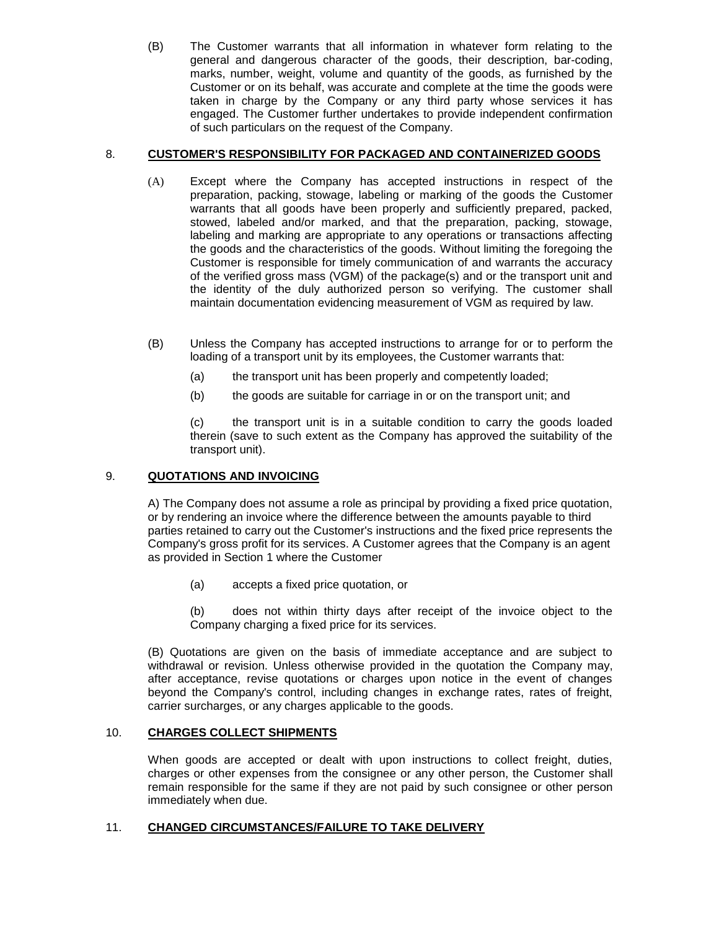(B) The Customer warrants that all information in whatever form relating to the general and dangerous character of the goods, their description, bar-coding, marks, number, weight, volume and quantity of the goods, as furnished by the Customer or on its behalf, was accurate and complete at the time the goods were taken in charge by the Company or any third party whose services it has engaged. The Customer further undertakes to provide independent confirmation of such particulars on the request of the Company.

# 8. **CUSTOMER'S RESPONSIBILITY FOR PACKAGED AND CONTAINERIZED GOODS**

- (A) Except where the Company has accepted instructions in respect of the preparation, packing, stowage, labeling or marking of the goods the Customer warrants that all goods have been properly and sufficiently prepared, packed, stowed, labeled and/or marked, and that the preparation, packing, stowage, labeling and marking are appropriate to any operations or transactions affecting the goods and the characteristics of the goods. Without limiting the foregoing the Customer is responsible for timely communication of and warrants the accuracy of the verified gross mass (VGM) of the package(s) and or the transport unit and the identity of the duly authorized person so verifying. The customer shall maintain documentation evidencing measurement of VGM as required by law.
- (B) Unless the Company has accepted instructions to arrange for or to perform the loading of a transport unit by its employees, the Customer warrants that:
	- (a) the transport unit has been properly and competently loaded;
	- (b) the goods are suitable for carriage in or on the transport unit; and

(c) the transport unit is in a suitable condition to carry the goods loaded therein (save to such extent as the Company has approved the suitability of the transport unit).

# 9. **QUOTATIONS AND INVOICING**

A) The Company does not assume a role as principal by providing a fixed price quotation, or by rendering an invoice where the difference between the amounts payable to third parties retained to carry out the Customer's instructions and the fixed price represents the Company's gross profit for its services. A Customer agrees that the Company is an agent as provided in Section 1 where the Customer

(a) accepts a fixed price quotation, or

(b) does not within thirty days after receipt of the invoice object to the Company charging a fixed price for its services.

(B) Quotations are given on the basis of immediate acceptance and are subject to withdrawal or revision. Unless otherwise provided in the quotation the Company may, after acceptance, revise quotations or charges upon notice in the event of changes beyond the Company's control, including changes in exchange rates, rates of freight, carrier surcharges, or any charges applicable to the goods.

# 10. **CHARGES COLLECT SHIPMENTS**

When goods are accepted or dealt with upon instructions to collect freight, duties, charges or other expenses from the consignee or any other person, the Customer shall remain responsible for the same if they are not paid by such consignee or other person immediately when due.

# 11. **CHANGED CIRCUMSTANCES/FAILURE TO TAKE DELIVERY**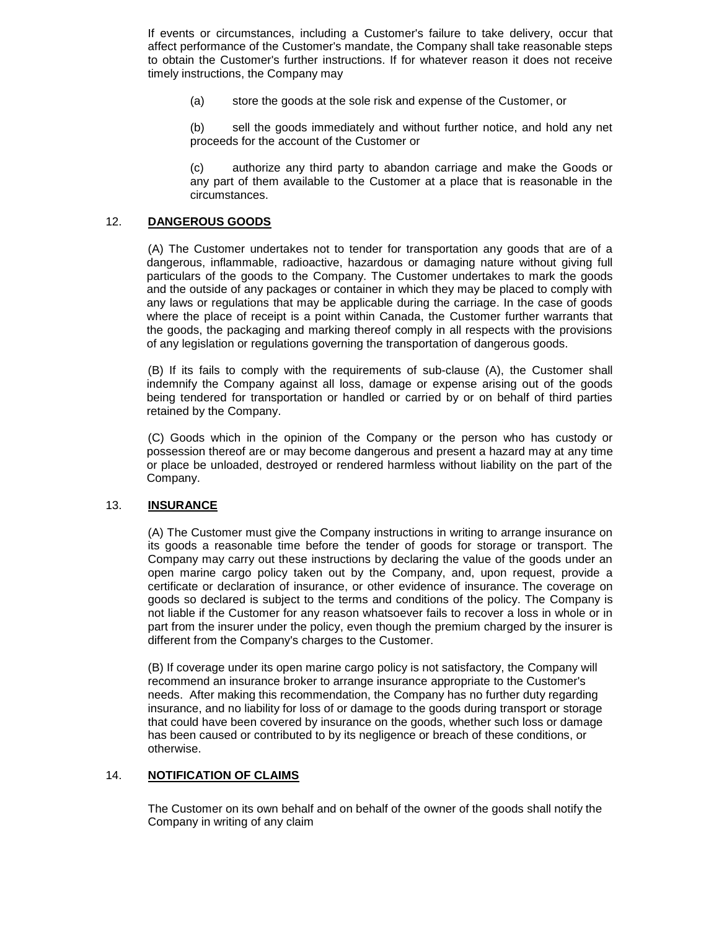If events or circumstances, including a Customer's failure to take delivery, occur that affect performance of the Customer's mandate, the Company shall take reasonable steps to obtain the Customer's further instructions. If for whatever reason it does not receive timely instructions, the Company may

(a) store the goods at the sole risk and expense of the Customer, or

(b) sell the goods immediately and without further notice, and hold any net proceeds for the account of the Customer or

(c) authorize any third party to abandon carriage and make the Goods or any part of them available to the Customer at a place that is reasonable in the circumstances.

### 12. **DANGEROUS GOODS**

(A) The Customer undertakes not to tender for transportation any goods that are of a dangerous, inflammable, radioactive, hazardous or damaging nature without giving full particulars of the goods to the Company. The Customer undertakes to mark the goods and the outside of any packages or container in which they may be placed to comply with any laws or regulations that may be applicable during the carriage. In the case of goods where the place of receipt is a point within Canada, the Customer further warrants that the goods, the packaging and marking thereof comply in all respects with the provisions of any legislation or regulations governing the transportation of dangerous goods.

(B) If its fails to comply with the requirements of sub-clause (A), the Customer shall indemnify the Company against all loss, damage or expense arising out of the goods being tendered for transportation or handled or carried by or on behalf of third parties retained by the Company.

(C) Goods which in the opinion of the Company or the person who has custody or possession thereof are or may become dangerous and present a hazard may at any time or place be unloaded, destroyed or rendered harmless without liability on the part of the Company.

### 13. **INSURANCE**

(A) The Customer must give the Company instructions in writing to arrange insurance on its goods a reasonable time before the tender of goods for storage or transport. The Company may carry out these instructions by declaring the value of the goods under an open marine cargo policy taken out by the Company, and, upon request, provide a certificate or declaration of insurance, or other evidence of insurance. The coverage on goods so declared is subject to the terms and conditions of the policy. The Company is not liable if the Customer for any reason whatsoever fails to recover a loss in whole or in part from the insurer under the policy, even though the premium charged by the insurer is different from the Company's charges to the Customer.

(B) If coverage under its open marine cargo policy is not satisfactory, the Company will recommend an insurance broker to arrange insurance appropriate to the Customer's needs. After making this recommendation, the Company has no further duty regarding insurance, and no liability for loss of or damage to the goods during transport or storage that could have been covered by insurance on the goods, whether such loss or damage has been caused or contributed to by its negligence or breach of these conditions, or otherwise.

### 14. **NOTIFICATION OF CLAIMS**

The Customer on its own behalf and on behalf of the owner of the goods shall notify the Company in writing of any claim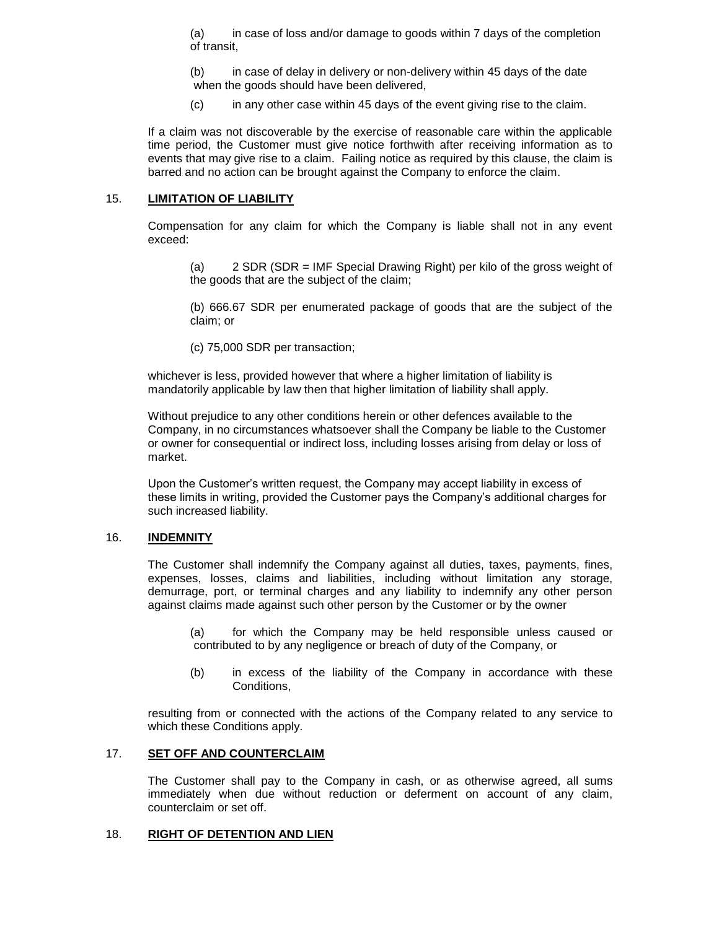(a) in case of loss and/or damage to goods within 7 days of the completion of transit,

(b) in case of delay in delivery or non-delivery within 45 days of the date when the goods should have been delivered,

(c) in any other case within 45 days of the event giving rise to the claim.

If a claim was not discoverable by the exercise of reasonable care within the applicable time period, the Customer must give notice forthwith after receiving information as to events that may give rise to a claim. Failing notice as required by this clause, the claim is barred and no action can be brought against the Company to enforce the claim.

#### 15. **LIMITATION OF LIABILITY**

Compensation for any claim for which the Company is liable shall not in any event exceed:

(a) 2 SDR (SDR = IMF Special Drawing Right) per kilo of the gross weight of the goods that are the subject of the claim;

(b) 666.67 SDR per enumerated package of goods that are the subject of the claim; or

(c) 75,000 SDR per transaction;

whichever is less, provided however that where a higher limitation of liability is mandatorily applicable by law then that higher limitation of liability shall apply.

Without prejudice to any other conditions herein or other defences available to the Company, in no circumstances whatsoever shall the Company be liable to the Customer or owner for consequential or indirect loss, including losses arising from delay or loss of market.

Upon the Customer's written request, the Company may accept liability in excess of these limits in writing, provided the Customer pays the Company's additional charges for such increased liability.

### 16. **INDEMNITY**

The Customer shall indemnify the Company against all duties, taxes, payments, fines, expenses, losses, claims and liabilities, including without limitation any storage, demurrage, port, or terminal charges and any liability to indemnify any other person against claims made against such other person by the Customer or by the owner

(a) for which the Company may be held responsible unless caused or contributed to by any negligence or breach of duty of the Company, or

(b) in excess of the liability of the Company in accordance with these Conditions,

resulting from or connected with the actions of the Company related to any service to which these Conditions apply.

#### 17. **SET OFF AND COUNTERCLAIM**

The Customer shall pay to the Company in cash, or as otherwise agreed, all sums immediately when due without reduction or deferment on account of any claim, counterclaim or set off.

#### 18. **RIGHT OF DETENTION AND LIEN**